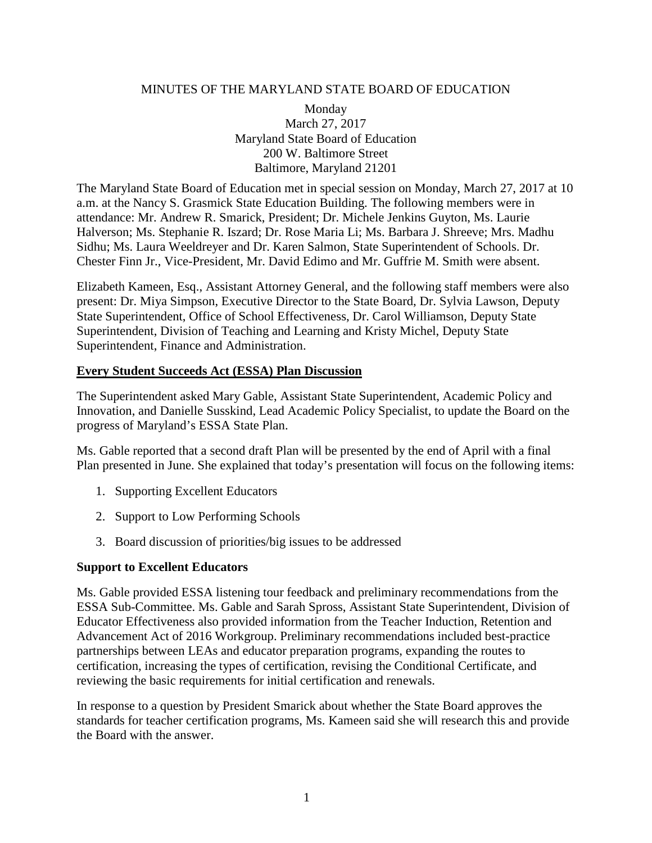# MINUTES OF THE MARYLAND STATE BOARD OF EDUCATION

Monday March 27, 2017 Maryland State Board of Education 200 W. Baltimore Street Baltimore, Maryland 21201

The Maryland State Board of Education met in special session on Monday, March 27, 2017 at 10 a.m. at the Nancy S. Grasmick State Education Building. The following members were in attendance: Mr. Andrew R. Smarick, President; Dr. Michele Jenkins Guyton, Ms. Laurie Halverson; Ms. Stephanie R. Iszard; Dr. Rose Maria Li; Ms. Barbara J. Shreeve; Mrs. Madhu Sidhu; Ms. Laura Weeldreyer and Dr. Karen Salmon, State Superintendent of Schools. Dr. Chester Finn Jr., Vice-President, Mr. David Edimo and Mr. Guffrie M. Smith were absent.

Elizabeth Kameen, Esq., Assistant Attorney General, and the following staff members were also present: Dr. Miya Simpson, Executive Director to the State Board, Dr. Sylvia Lawson, Deputy State Superintendent, Office of School Effectiveness, Dr. Carol Williamson, Deputy State Superintendent, Division of Teaching and Learning and Kristy Michel, Deputy State Superintendent, Finance and Administration.

# **Every Student Succeeds Act (ESSA) Plan Discussion**

The Superintendent asked Mary Gable, Assistant State Superintendent, Academic Policy and Innovation, and Danielle Susskind, Lead Academic Policy Specialist, to update the Board on the progress of Maryland's ESSA State Plan.

Ms. Gable reported that a second draft Plan will be presented by the end of April with a final Plan presented in June. She explained that today's presentation will focus on the following items:

- 1. Supporting Excellent Educators
- 2. Support to Low Performing Schools
- 3. Board discussion of priorities/big issues to be addressed

### **Support to Excellent Educators**

Ms. Gable provided ESSA listening tour feedback and preliminary recommendations from the ESSA Sub-Committee. Ms. Gable and Sarah Spross, Assistant State Superintendent, Division of Educator Effectiveness also provided information from the Teacher Induction, Retention and Advancement Act of 2016 Workgroup. Preliminary recommendations included best-practice partnerships between LEAs and educator preparation programs, expanding the routes to certification, increasing the types of certification, revising the Conditional Certificate, and reviewing the basic requirements for initial certification and renewals.

In response to a question by President Smarick about whether the State Board approves the standards for teacher certification programs, Ms. Kameen said she will research this and provide the Board with the answer.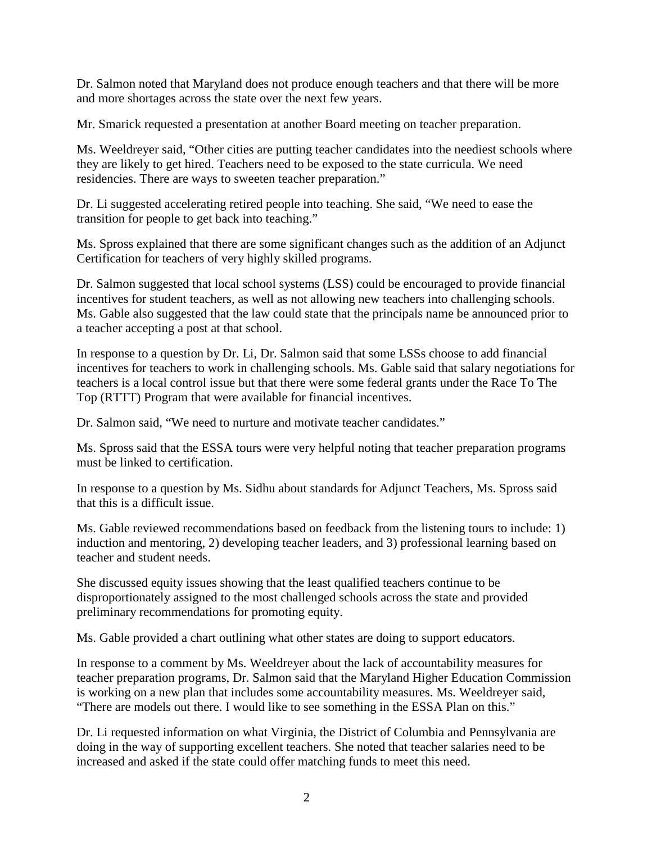Dr. Salmon noted that Maryland does not produce enough teachers and that there will be more and more shortages across the state over the next few years.

Mr. Smarick requested a presentation at another Board meeting on teacher preparation.

Ms. Weeldreyer said, "Other cities are putting teacher candidates into the neediest schools where they are likely to get hired. Teachers need to be exposed to the state curricula. We need residencies. There are ways to sweeten teacher preparation."

Dr. Li suggested accelerating retired people into teaching. She said, "We need to ease the transition for people to get back into teaching."

Ms. Spross explained that there are some significant changes such as the addition of an Adjunct Certification for teachers of very highly skilled programs.

Dr. Salmon suggested that local school systems (LSS) could be encouraged to provide financial incentives for student teachers, as well as not allowing new teachers into challenging schools. Ms. Gable also suggested that the law could state that the principals name be announced prior to a teacher accepting a post at that school.

In response to a question by Dr. Li, Dr. Salmon said that some LSSs choose to add financial incentives for teachers to work in challenging schools. Ms. Gable said that salary negotiations for teachers is a local control issue but that there were some federal grants under the Race To The Top (RTTT) Program that were available for financial incentives.

Dr. Salmon said, "We need to nurture and motivate teacher candidates."

Ms. Spross said that the ESSA tours were very helpful noting that teacher preparation programs must be linked to certification.

In response to a question by Ms. Sidhu about standards for Adjunct Teachers, Ms. Spross said that this is a difficult issue.

Ms. Gable reviewed recommendations based on feedback from the listening tours to include: 1) induction and mentoring, 2) developing teacher leaders, and 3) professional learning based on teacher and student needs.

She discussed equity issues showing that the least qualified teachers continue to be disproportionately assigned to the most challenged schools across the state and provided preliminary recommendations for promoting equity.

Ms. Gable provided a chart outlining what other states are doing to support educators.

In response to a comment by Ms. Weeldreyer about the lack of accountability measures for teacher preparation programs, Dr. Salmon said that the Maryland Higher Education Commission is working on a new plan that includes some accountability measures. Ms. Weeldreyer said, "There are models out there. I would like to see something in the ESSA Plan on this."

Dr. Li requested information on what Virginia, the District of Columbia and Pennsylvania are doing in the way of supporting excellent teachers. She noted that teacher salaries need to be increased and asked if the state could offer matching funds to meet this need.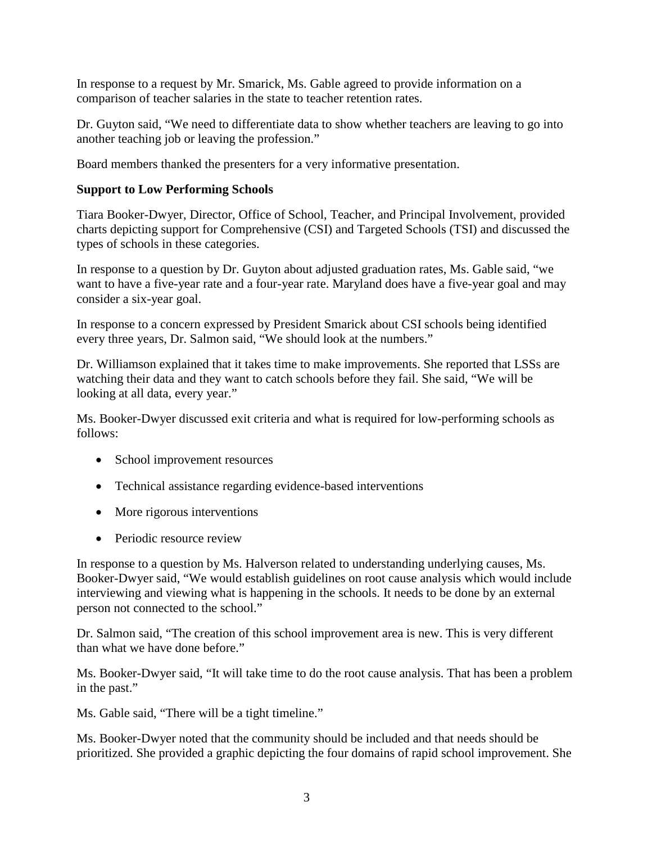In response to a request by Mr. Smarick, Ms. Gable agreed to provide information on a comparison of teacher salaries in the state to teacher retention rates.

Dr. Guyton said, "We need to differentiate data to show whether teachers are leaving to go into another teaching job or leaving the profession."

Board members thanked the presenters for a very informative presentation.

# **Support to Low Performing Schools**

Tiara Booker-Dwyer, Director, Office of School, Teacher, and Principal Involvement, provided charts depicting support for Comprehensive (CSI) and Targeted Schools (TSI) and discussed the types of schools in these categories.

In response to a question by Dr. Guyton about adjusted graduation rates, Ms. Gable said, "we want to have a five-year rate and a four-year rate. Maryland does have a five-year goal and may consider a six-year goal.

In response to a concern expressed by President Smarick about CSI schools being identified every three years, Dr. Salmon said, "We should look at the numbers."

Dr. Williamson explained that it takes time to make improvements. She reported that LSSs are watching their data and they want to catch schools before they fail. She said, "We will be looking at all data, every year."

Ms. Booker-Dwyer discussed exit criteria and what is required for low-performing schools as follows:

- School improvement resources
- Technical assistance regarding evidence-based interventions
- More rigorous interventions
- Periodic resource review

In response to a question by Ms. Halverson related to understanding underlying causes, Ms. Booker-Dwyer said, "We would establish guidelines on root cause analysis which would include interviewing and viewing what is happening in the schools. It needs to be done by an external person not connected to the school."

Dr. Salmon said, "The creation of this school improvement area is new. This is very different than what we have done before."

Ms. Booker-Dwyer said, "It will take time to do the root cause analysis. That has been a problem in the past."

Ms. Gable said, "There will be a tight timeline."

Ms. Booker-Dwyer noted that the community should be included and that needs should be prioritized. She provided a graphic depicting the four domains of rapid school improvement. She